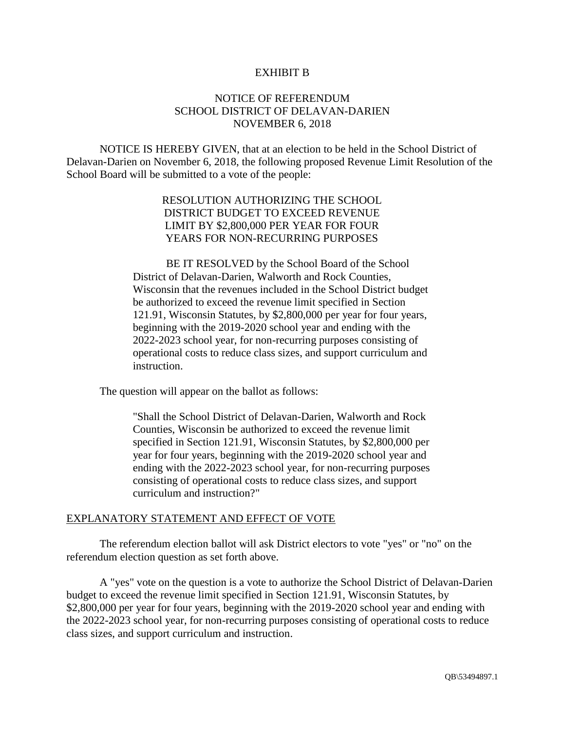#### EXHIBIT B

#### NOTICE OF REFERENDUM SCHOOL DISTRICT OF DELAVAN-DARIEN NOVEMBER 6, 2018

NOTICE IS HEREBY GIVEN, that at an election to be held in the School District of Delavan-Darien on November 6, 2018, the following proposed Revenue Limit Resolution of the School Board will be submitted to a vote of the people:

### RESOLUTION AUTHORIZING THE SCHOOL DISTRICT BUDGET TO EXCEED REVENUE LIMIT BY \$2,800,000 PER YEAR FOR FOUR YEARS FOR NON-RECURRING PURPOSES

BE IT RESOLVED by the School Board of the School District of Delavan-Darien, Walworth and Rock Counties, Wisconsin that the revenues included in the School District budget be authorized to exceed the revenue limit specified in Section 121.91, Wisconsin Statutes, by \$2,800,000 per year for four years, beginning with the 2019-2020 school year and ending with the 2022-2023 school year, for non-recurring purposes consisting of operational costs to reduce class sizes, and support curriculum and instruction.

The question will appear on the ballot as follows:

"Shall the School District of Delavan-Darien, Walworth and Rock Counties, Wisconsin be authorized to exceed the revenue limit specified in Section 121.91, Wisconsin Statutes, by \$2,800,000 per year for four years, beginning with the 2019-2020 school year and ending with the 2022-2023 school year, for non-recurring purposes consisting of operational costs to reduce class sizes, and support curriculum and instruction?"

#### EXPLANATORY STATEMENT AND EFFECT OF VOTE

The referendum election ballot will ask District electors to vote "yes" or "no" on the referendum election question as set forth above.

A "yes" vote on the question is a vote to authorize the School District of Delavan-Darien budget to exceed the revenue limit specified in Section 121.91, Wisconsin Statutes, by \$2,800,000 per year for four years, beginning with the 2019-2020 school year and ending with the 2022-2023 school year, for non-recurring purposes consisting of operational costs to reduce class sizes, and support curriculum and instruction.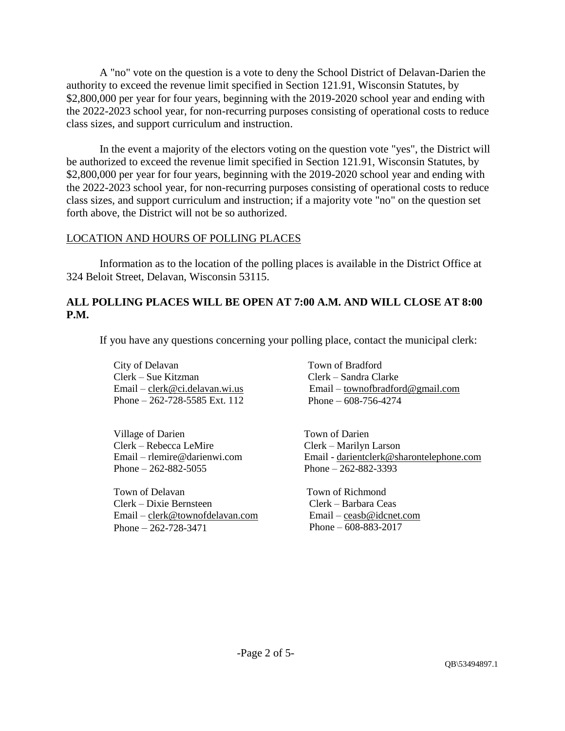A "no" vote on the question is a vote to deny the School District of Delavan-Darien the authority to exceed the revenue limit specified in Section 121.91, Wisconsin Statutes, by \$2,800,000 per year for four years, beginning with the 2019-2020 school year and ending with the 2022-2023 school year, for non-recurring purposes consisting of operational costs to reduce class sizes, and support curriculum and instruction.

In the event a majority of the electors voting on the question vote "yes", the District will be authorized to exceed the revenue limit specified in Section 121.91, Wisconsin Statutes, by \$2,800,000 per year for four years, beginning with the 2019-2020 school year and ending with the 2022-2023 school year, for non-recurring purposes consisting of operational costs to reduce class sizes, and support curriculum and instruction; if a majority vote "no" on the question set forth above, the District will not be so authorized.

## LOCATION AND HOURS OF POLLING PLACES

Information as to the location of the polling places is available in the District Office at 324 Beloit Street, Delavan, Wisconsin 53115.

## **ALL POLLING PLACES WILL BE OPEN AT 7:00 A.M. AND WILL CLOSE AT 8:00 P.M.**

If you have any questions concerning your polling place, contact the municipal clerk:

City of Delavan Clerk – Sue Kitzman Email – clerk@ci.delavan.wi.us Phone – 262-728-5585 Ext. 112

Village of Darien Clerk – Rebecca LeMire Email – rlemire@darienwi.com Phone  $-262 - 882 - 5055$ 

Town of Delavan Clerk – Dixie Bernsteen Email – clerk@townofdelavan.com Phone – 262-728-3471

Town of Bradford Clerk – Sandra Clarke Email – townofbradford@gmail.com Phone – 608-756-4274

 Town of Darien Clerk – Marilyn Larson Email - darientclerk@sharontelephone.com Phone – 262-882-3393

 Town of Richmond Clerk – Barbara Ceas Email – ceasb@idcnet.com Phone – 608-883-2017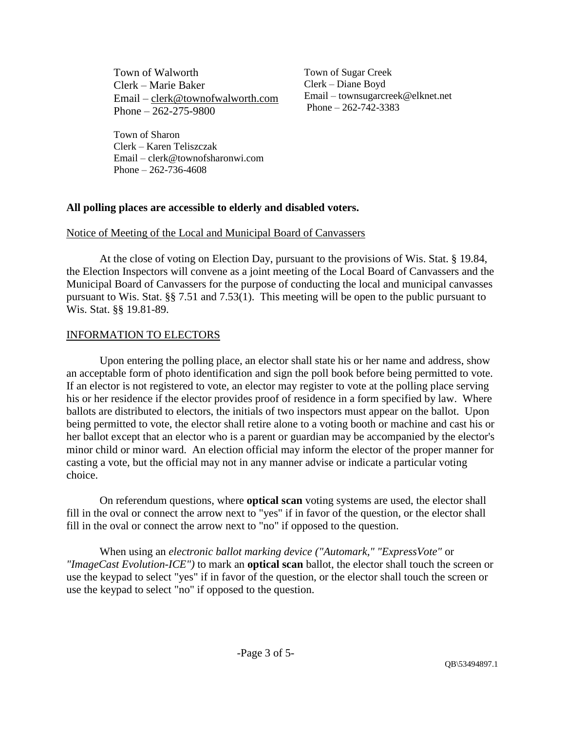Town of Walworth Clerk – Marie Baker Email – clerk@townofwalworth.com Phone – 262-275-9800

 Town of Sugar Creek Clerk – Diane Boyd Email – townsugarcreek@elknet.net Phone – 262-742-3383

Town of Sharon Clerk – Karen Teliszczak Email – clerk@townofsharonwi.com Phone – 262-736-4608

## **All polling places are accessible to elderly and disabled voters.**

### Notice of Meeting of the Local and Municipal Board of Canvassers

At the close of voting on Election Day, pursuant to the provisions of Wis. Stat. § 19.84, the Election Inspectors will convene as a joint meeting of the Local Board of Canvassers and the Municipal Board of Canvassers for the purpose of conducting the local and municipal canvasses pursuant to Wis. Stat. §§ 7.51 and 7.53(1). This meeting will be open to the public pursuant to Wis. Stat. §§ 19.81-89.

### INFORMATION TO ELECTORS

Upon entering the polling place, an elector shall state his or her name and address, show an acceptable form of photo identification and sign the poll book before being permitted to vote. If an elector is not registered to vote, an elector may register to vote at the polling place serving his or her residence if the elector provides proof of residence in a form specified by law. Where ballots are distributed to electors, the initials of two inspectors must appear on the ballot. Upon being permitted to vote, the elector shall retire alone to a voting booth or machine and cast his or her ballot except that an elector who is a parent or guardian may be accompanied by the elector's minor child or minor ward. An election official may inform the elector of the proper manner for casting a vote, but the official may not in any manner advise or indicate a particular voting choice.

On referendum questions, where **optical scan** voting systems are used, the elector shall fill in the oval or connect the arrow next to "yes" if in favor of the question, or the elector shall fill in the oval or connect the arrow next to "no" if opposed to the question.

When using an *electronic ballot marking device ("Automark," "ExpressVote"* or *"ImageCast Evolution-ICE")* to mark an **optical scan** ballot, the elector shall touch the screen or use the keypad to select "yes" if in favor of the question, or the elector shall touch the screen or use the keypad to select "no" if opposed to the question.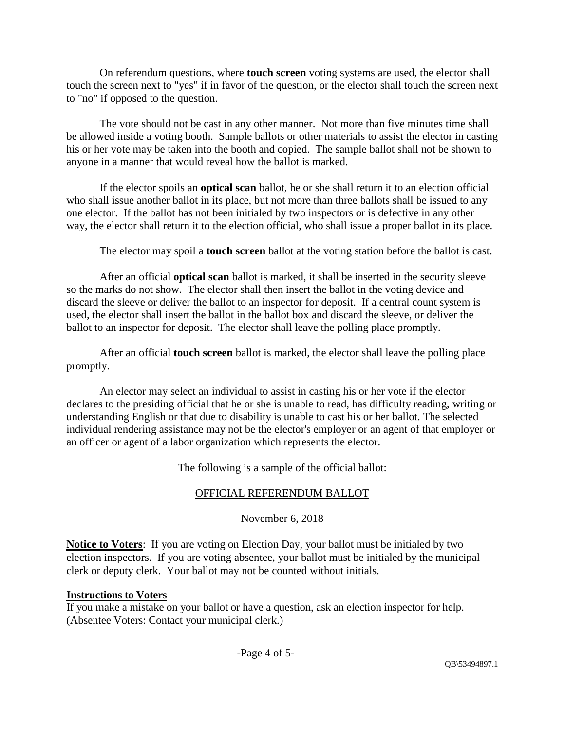On referendum questions, where **touch screen** voting systems are used, the elector shall touch the screen next to "yes" if in favor of the question, or the elector shall touch the screen next to "no" if opposed to the question.

The vote should not be cast in any other manner. Not more than five minutes time shall be allowed inside a voting booth. Sample ballots or other materials to assist the elector in casting his or her vote may be taken into the booth and copied. The sample ballot shall not be shown to anyone in a manner that would reveal how the ballot is marked.

If the elector spoils an **optical scan** ballot, he or she shall return it to an election official who shall issue another ballot in its place, but not more than three ballots shall be issued to any one elector. If the ballot has not been initialed by two inspectors or is defective in any other way, the elector shall return it to the election official, who shall issue a proper ballot in its place.

The elector may spoil a **touch screen** ballot at the voting station before the ballot is cast.

After an official **optical scan** ballot is marked, it shall be inserted in the security sleeve so the marks do not show. The elector shall then insert the ballot in the voting device and discard the sleeve or deliver the ballot to an inspector for deposit. If a central count system is used, the elector shall insert the ballot in the ballot box and discard the sleeve, or deliver the ballot to an inspector for deposit. The elector shall leave the polling place promptly.

After an official **touch screen** ballot is marked, the elector shall leave the polling place promptly.

An elector may select an individual to assist in casting his or her vote if the elector declares to the presiding official that he or she is unable to read, has difficulty reading, writing or understanding English or that due to disability is unable to cast his or her ballot. The selected individual rendering assistance may not be the elector's employer or an agent of that employer or an officer or agent of a labor organization which represents the elector.

# The following is a sample of the official ballot:

# OFFICIAL REFERENDUM BALLOT

# November 6, 2018

**Notice to Voters**: If you are voting on Election Day, your ballot must be initialed by two election inspectors. If you are voting absentee, your ballot must be initialed by the municipal clerk or deputy clerk. Your ballot may not be counted without initials.

# **Instructions to Voters**

If you make a mistake on your ballot or have a question, ask an election inspector for help. (Absentee Voters: Contact your municipal clerk.)